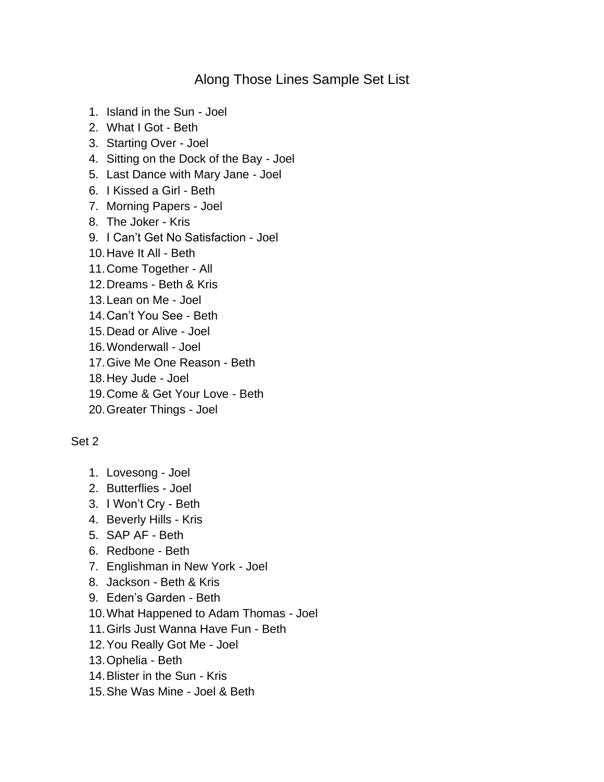## Along Those Lines Sample Set List

- 1. Island in the Sun Joel
- 2. What I Got Beth
- 3. Starting Over Joel
- 4. Sitting on the Dock of the Bay Joel
- 5. Last Dance with Mary Jane Joel
- 6. I Kissed a Girl Beth
- 7. Morning Papers Joel
- 8. The Joker Kris
- 9. I Can't Get No Satisfaction Joel
- 10.Have It All Beth
- 11.Come Together All
- 12.Dreams Beth & Kris
- 13.Lean on Me Joel
- 14.Can't You See Beth
- 15.Dead or Alive Joel
- 16.Wonderwall Joel
- 17.Give Me One Reason Beth
- 18.Hey Jude Joel
- 19.Come & Get Your Love Beth
- 20.Greater Things Joel

## Set 2

- 1. Lovesong Joel
- 2. Butterflies Joel
- 3. I Won't Cry Beth
- 4. Beverly Hills Kris
- 5. SAP AF Beth
- 6. Redbone Beth
- 7. Englishman in New York Joel
- 8. Jackson Beth & Kris
- 9. Eden's Garden Beth
- 10.What Happened to Adam Thomas Joel
- 11.Girls Just Wanna Have Fun Beth
- 12.You Really Got Me Joel
- 13.Ophelia Beth
- 14.Blister in the Sun Kris
- 15.She Was Mine Joel & Beth